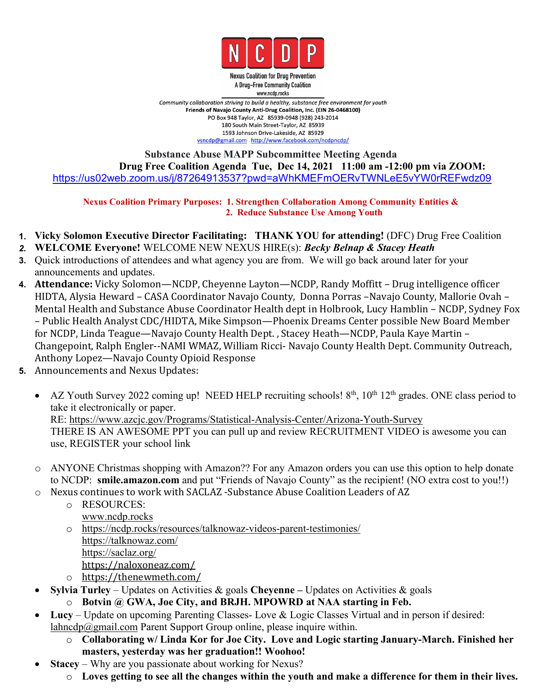

**Nexus Coalition for Drug Prevention** A Drug-Free Community Coalition www.ncdp.rocks

Community collaboration striving to build a healthy, substance free environment for youth Friends of Navajo County Anti-Drug Coalition, Inc. (EIN 26-0468100) PO Box 948 Taylor, AZ 85939-0948 (928) 243-2014 180 South Main Street-Taylor, AZ 85939 1593 Johnson Drive-Lakeside, AZ 85929 vsncdp@gmail.com http://www.facebook.com/ncdpncdp/

## **Substance Abuse MAPP Subcommittee Meeting Agenda Drug Free Coalition Agenda Tue, Dec 14, 2021 11:00 am -12:00 pm via ZOOM:** <https://us02web.zoom.us/j/87264913537?pwd=aWhKMEFmOERvTWNLeE5vYW0rREFwdz09>

**Nexus Coalition Primary Purposes: 1. Strengthen Collaboration Among Community Entities & 2. Reduce Substance Use Among Youth**

- **1. Vicky Solomon Executive Director Facilitating: THANK YOU for attending!** (DFC) Drug Free Coalition
- *2.* **WELCOME Everyone!** WELCOME NEW NEXUS HIRE(s): *Becky Belnap & Stacey Heath*
- **3.** Quick introductions of attendees and what agency you are from. We will go back around later for your announcements and updates.
- **4. Attendance:** Vicky Solomon—NCDP, Cheyenne Layton—NCDP, Randy Moffitt– Drug intelligence officer HIDTA, Alysia Heward – CASA Coordinator Navajo County, Donna Porras –Navajo County, Mallorie Ovah – Mental Health and Substance Abuse Coordinator Health dept in Holbrook, Lucy Hamblin – NCDP, Sydney Fox – Public Health Analyst CDC/HIDTA, Mike Simpson—Phoenix Dreams Center possible New Board Member for NCDP, Linda Teague—Navajo County Health Dept. , Stacey Heath—NCDP, Paula Kaye Martin – Changepoint, Ralph Engler--NAMI WMAZ, William Ricci- Navajo County Health Dept. Community Outreach, Anthony Lopez—Navajo County Opioid Response
- **5.** Announcements and Nexus Updates:
	- AZ Youth Survey 2022 coming up! NEED HELP recruiting schools! 8<sup>th</sup>, 10<sup>th</sup> 12<sup>th</sup> grades. ONE class period to take it electronically or paper. RE: <https://www.azcjc.gov/Programs/Statistical-Analysis-Center/Arizona-Youth-Survey> THERE IS AN AWESOME PPT you can pull up and review RECRUITMENT VIDEO is awesome you can use, REGISTER your school link
	- ANYONE Christmas shopping with Amazon?? For any Amazon orders you can use this option to help donate to NCDP: **smile.amazon.com** and put "Friends of Navajo County" as the recipient! (NO extra cost to you!!)
	- o Nexus continues to work with SACLAZ -Substance Abuse Coalition Leaders of AZ
		- o RESOURCES: [www.ncdp.rocks](http://www.ncdp.rocks)
		- o <https://ncdp.rocks/resources/talknowaz-videos-parent-testimonies/> [https://talknowaz.com/](https://www.google.com/url?q=https://talknowaz.com/&sa=D&source=calendar&usd=2&usg=AOvVaw3oaiE00kVKA5zY7O6hL5r7) [https://saclaz.org/](https://www.google.com/url?q=https://saclaz.org/&sa=D&source=calendar&usd=2&usg=AOvVaw2DJgzl5DWUkcQJ3xLlsE15) [https://naloxoneaz.com/](https://www.google.com/url?q=https://naloxoneaz.com/&sa=D&source=calendar&usd=2&usg=AOvVaw29DHHlCYkYtuf9R0VnQi-p)
		- o <https://thenewmeth.com/>
		- **Sylvia Turley** Updates on Activities & goals **Cheyenne –** Updates on Activities & goals
		- $\circ$  Botvin @ GWA, Joe City, and BRJH. MPOWRD at NAA starting in Feb.<br>Lucy Update on upcoming Parenting Classes- Love & Logic Classes Virtual and in person if desired:
	- [lahncdp@gmail.com](mailto:lahncdp@gmail.com) Parent Support Group online, please inquire within.
		- o **Collaborating w/ Linda Kor for Joe City. Love and Logic starting January-March. Finished her masters, yesterday was her graduation!! Woohoo!**
	- **Stacey** Why are you passionate about working for Nexus?
		- Loves getting to see all the changes within the youth and make a difference for them in their lives.